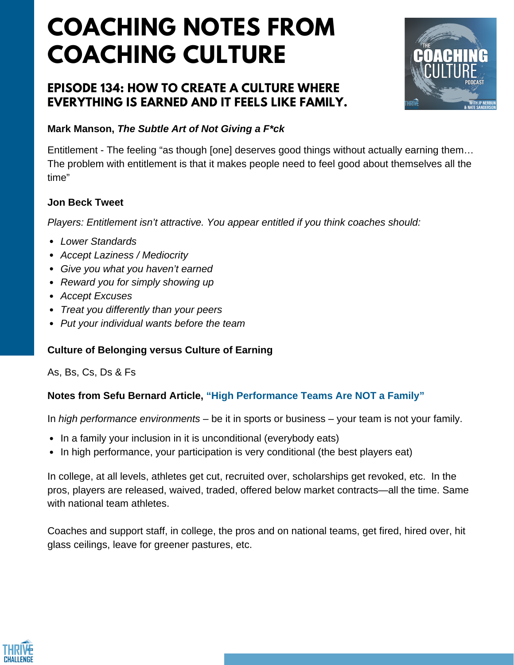# **COACHING NOTES FROM COACHING CULTURE**

## **EPISODE 134: HOW TO CREATE A CULTURE WHERE EVERYTHING IS EARNED AND IT FEELS LIKE FAMILY.**



## **Mark Manson,** *The Subtle Art of Not Giving a F\*ck*

Entitlement - The feeling "as though [one] deserves good things without actually earning them… The problem with entitlement is that it makes people need to feel good about themselves all the time"

### **Jon Beck Tweet**

*Players: Entitlement isn't attractive. You appear entitled if you think coaches should:*

- *Lower Standards*
- *Accept Laziness / Mediocrity*
- *Give you what you haven't earned*
- *Reward you for simply showing up*
- *Accept Excuses*
- *Treat you differently than your peers*
- *Put your individual wants before the team*

## **Culture of Belonging versus Culture of Earning**

As, Bs, Cs, Ds & Fs

#### **Notes from Sefu Bernard Article, "High [Performance](http://www.thellabb.com/high-performance-teams-are-not-a-family/) Teams Are NOT a Family"**

In *high performance environments* – be it in sports or business – your team is not your family.

- In a family your inclusion in it is unconditional (everybody eats)
- In high performance, your participation is very conditional (the best players eat)

In college, at all levels, athletes get cut, recruited over, scholarships get revoked, etc. In the pros, players are released, waived, traded, offered below market contracts—all the time. Same with national team athletes.

Coaches and support staff, in college, the pros and on national teams, get fired, hired over, hit glass ceilings, leave for greener pastures, etc.

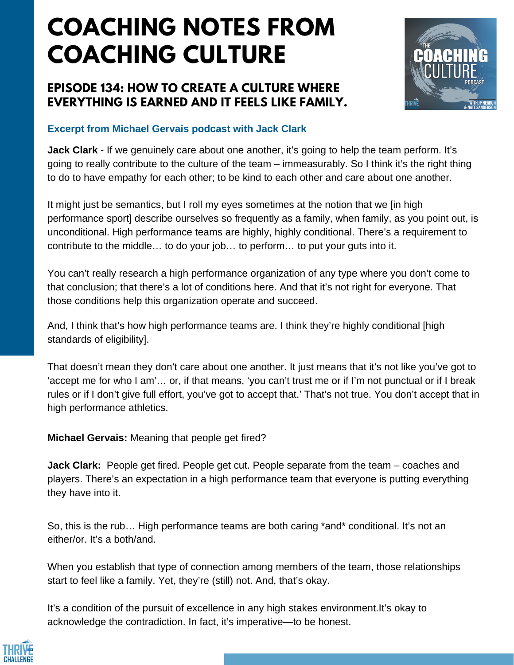# **COACHING NOTES FROM COACHING CULTURE**

## **EPISODE 134: HOW TO CREATE A CULTURE WHERE EVERYTHING IS EARNED AND IT FEELS LIKE FAMILY.**



## **Excerpt from Michael Gervais podcast with Jack Clark**

**Jack Clark** - If we genuinely care about one another, it's going to help the team perform. It's going to really contribute to the culture of the team – immeasurably. So I think it's the right thing to do to have empathy for each other; to be kind to each other and care about one another.

It might just be semantics, but I roll my eyes sometimes at the notion that we [in high performance sport] describe ourselves so frequently as a family, when family, as you point out, is unconditional. High performance teams are highly, highly conditional. There's a requirement to contribute to the middle… to do your job… to perform… to put your guts into it.

You can't really research a high performance organization of any type where you don't come to that conclusion; that there's a lot of conditions here. And that it's not right for everyone. That those conditions help this organization operate and succeed.

And, I think that's how high performance teams are. I think they're highly conditional [high standards of eligibility].

That doesn't mean they don't care about one another. It just means that it's not like you've got to 'accept me for who I am'… or, if that means, 'you can't trust me or if I'm not punctual or if I break rules or if I don't give full effort, you've got to accept that.' That's not true. You don't accept that in high performance athletics.

**Michael Gervais:** Meaning that people get fired?

**Jack Clark:** People get fired. People get cut. People separate from the team – coaches and players. There's an expectation in a high performance team that everyone is putting everything they have into it.

So, this is the rub… High performance teams are both caring \*and\* conditional. It's not an either/or. It's a both/and.

When you establish that type of connection among members of the team, those relationships start to feel like a family. Yet, they're (still) not. And, that's okay.

It's a condition of the pursuit of excellence in any high stakes environment.It's okay to acknowledge the contradiction. In fact, it's imperative—to be honest.